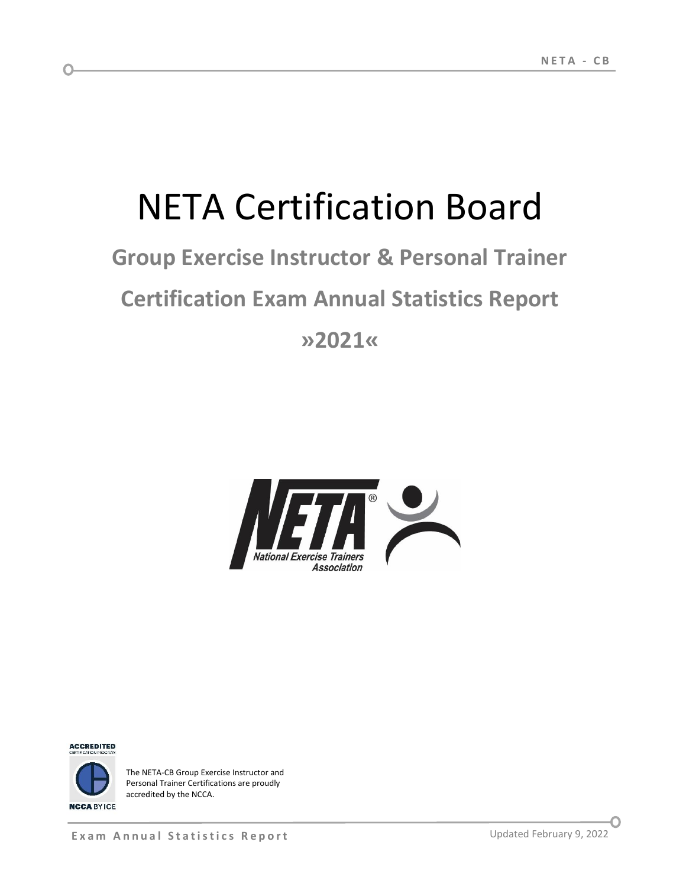## NETA Certification Board

## **Group Exercise Instructor & Personal Trainer**

## **Certification Exam Annual Statistics Report**

**»2021«**





**NCCA** BYICE

The NETA-CB Group Exercise Instructor and Personal Trainer Certifications are proudly accredited by the NCCA.